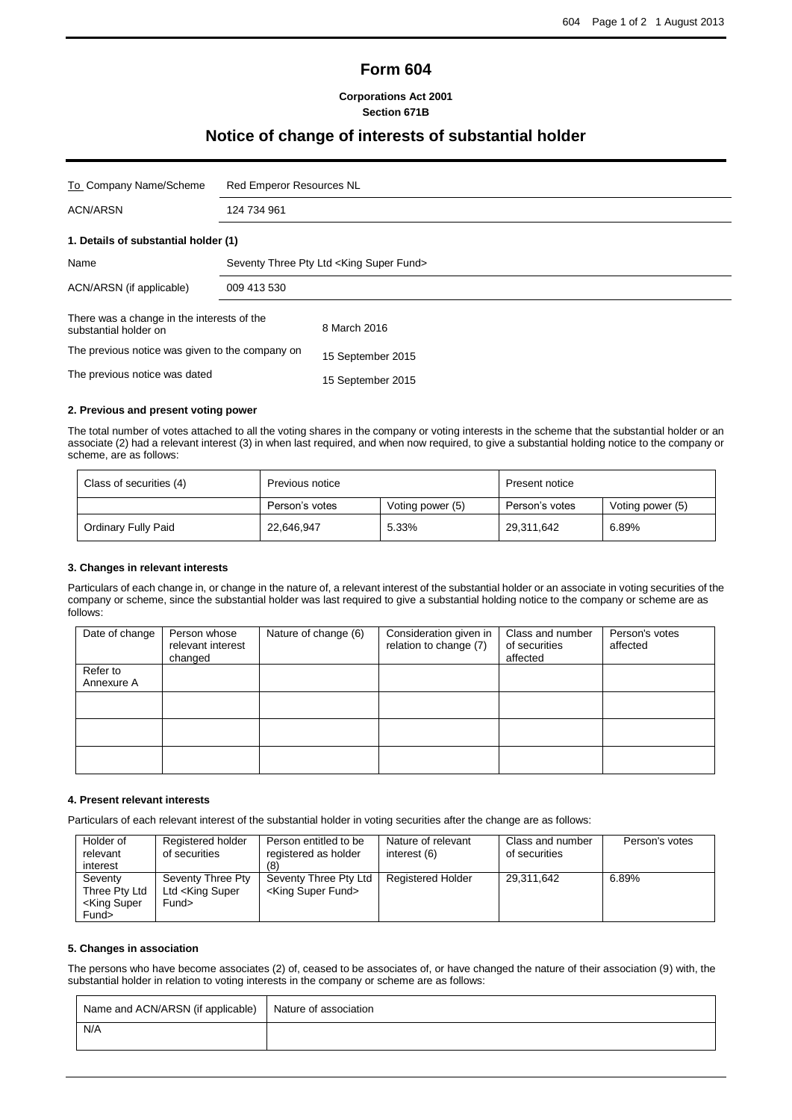# **Form 604**

#### **Corporations Act 2001 Section 671B**

# **Notice of change of interests of substantial holder**

| To Company Name/Scheme                                              | <b>Red Emperor Resources NL</b>          |                   |  |
|---------------------------------------------------------------------|------------------------------------------|-------------------|--|
| <b>ACN/ARSN</b>                                                     | 124 734 961                              |                   |  |
| 1. Details of substantial holder (1)                                |                                          |                   |  |
| Name                                                                | Seventy Three Pty Ltd < King Super Fund> |                   |  |
| ACN/ARSN (if applicable)                                            | 009 413 530                              |                   |  |
| There was a change in the interests of the<br>substantial holder on |                                          | 8 March 2016      |  |
| The previous notice was given to the company on                     |                                          | 15 September 2015 |  |
| The previous notice was dated                                       |                                          | 15 September 2015 |  |

### **2. Previous and present voting power**

The total number of votes attached to all the voting shares in the company or voting interests in the scheme that the substantial holder or an associate (2) had a relevant interest (3) in when last required, and when now required, to give a substantial holding notice to the company or scheme, are as follows:

| Class of securities (4) | Previous notice                    |       | Present notice |                  |
|-------------------------|------------------------------------|-------|----------------|------------------|
|                         | Person's votes<br>Voting power (5) |       | Person's votes | Voting power (5) |
| Ordinary Fully Paid     | 22,646,947                         | 5.33% | 29,311,642     | 6.89%            |

#### **3. Changes in relevant interests**

Particulars of each change in, or change in the nature of, a relevant interest of the substantial holder or an associate in voting securities of the company or scheme, since the substantial holder was last required to give a substantial holding notice to the company or scheme are as follows:

| Date of change         | Person whose<br>relevant interest<br>changed | Nature of change (6) | Consideration given in<br>relation to change (7) | Class and number<br>of securities<br>affected | Person's votes<br>affected |
|------------------------|----------------------------------------------|----------------------|--------------------------------------------------|-----------------------------------------------|----------------------------|
| Refer to<br>Annexure A |                                              |                      |                                                  |                                               |                            |
|                        |                                              |                      |                                                  |                                               |                            |
|                        |                                              |                      |                                                  |                                               |                            |
|                        |                                              |                      |                                                  |                                               |                            |

#### **4. Present relevant interests**

Particulars of each relevant interest of the substantial holder in voting securities after the change are as follows:

| Holder of<br>relevant<br>interest                             | Registered holder<br>of securities                         | Person entitled to be<br>registered as holder           | Nature of relevant<br>interest (6) | Class and number<br>of securities | Person's votes |
|---------------------------------------------------------------|------------------------------------------------------------|---------------------------------------------------------|------------------------------------|-----------------------------------|----------------|
| Seventy<br>Three Pty Ltd<br><king super<br="">Fund&gt;</king> | Seventy Three Pty<br>Ltd <king super<br="">Fund&gt;</king> | Seventy Three Pty Ltd<br><king fund="" super=""></king> | <b>Registered Holder</b>           | 29.311.642                        | 6.89%          |

#### **5. Changes in association**

The persons who have become associates (2) of, ceased to be associates of, or have changed the nature of their association (9) with, the substantial holder in relation to voting interests in the company or scheme are as follows:

| Name and ACN/ARSN (if applicable) | Nature of association |  |
|-----------------------------------|-----------------------|--|
| N/A                               |                       |  |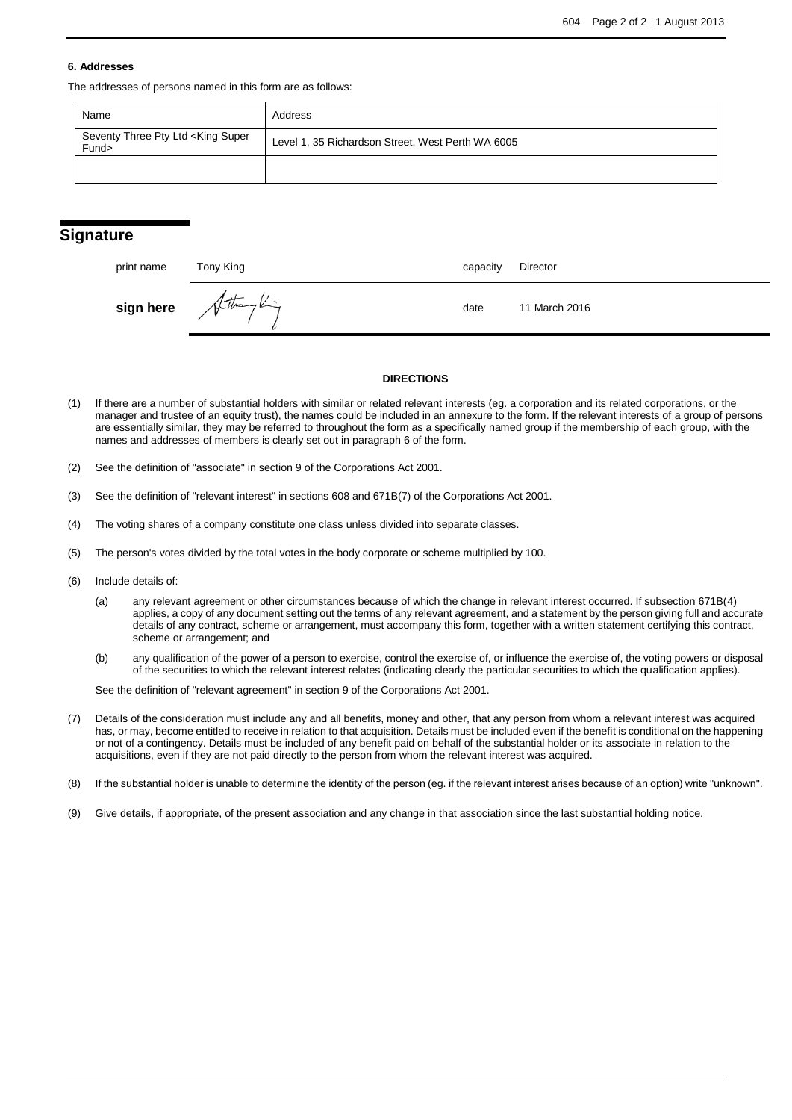#### **6. Addresses**

The addresses of persons named in this form are as follows:

| Name                                                    | Address                                           |
|---------------------------------------------------------|---------------------------------------------------|
| Seventy Three Pty Ltd <king super<br="">Fund&gt;</king> | Level 1, 35 Richardson Street, West Perth WA 6005 |
|                                                         |                                                   |

### **Signature**

| print name | Tony King              | capacity | Director      |
|------------|------------------------|----------|---------------|
|            | $sign here$ Attempting | date     | 11 March 2016 |

#### **DIRECTIONS**

- (1) If there are a number of substantial holders with similar or related relevant interests (eg. a corporation and its related corporations, or the manager and trustee of an equity trust), the names could be included in an annexure to the form. If the relevant interests of a group of persons are essentially similar, they may be referred to throughout the form as a specifically named group if the membership of each group, with the names and addresses of members is clearly set out in paragraph 6 of the form.
- (2) See the definition of "associate" in section 9 of the Corporations Act 2001.
- (3) See the definition of "relevant interest" in sections 608 and 671B(7) of the Corporations Act 2001.
- (4) The voting shares of a company constitute one class unless divided into separate classes.
- (5) The person's votes divided by the total votes in the body corporate or scheme multiplied by 100.
- (6) Include details of:
	- (a) any relevant agreement or other circumstances because of which the change in relevant interest occurred. If subsection 671B(4) applies, a copy of any document setting out the terms of any relevant agreement, and a statement by the person giving full and accurate details of any contract, scheme or arrangement, must accompany this form, together with a written statement certifying this contract, scheme or arrangement; and
	- (b) any qualification of the power of a person to exercise, control the exercise of, or influence the exercise of, the voting powers or disposal of the securities to which the relevant interest relates (indicating clearly the particular securities to which the qualification applies).

See the definition of "relevant agreement" in section 9 of the Corporations Act 2001.

- (7) Details of the consideration must include any and all benefits, money and other, that any person from whom a relevant interest was acquired has, or may, become entitled to receive in relation to that acquisition. Details must be included even if the benefit is conditional on the happening or not of a contingency. Details must be included of any benefit paid on behalf of the substantial holder or its associate in relation to the acquisitions, even if they are not paid directly to the person from whom the relevant interest was acquired.
- (8) If the substantial holder is unable to determine the identity of the person (eg. if the relevant interest arises because of an option) write "unknown".
- (9) Give details, if appropriate, of the present association and any change in that association since the last substantial holding notice.